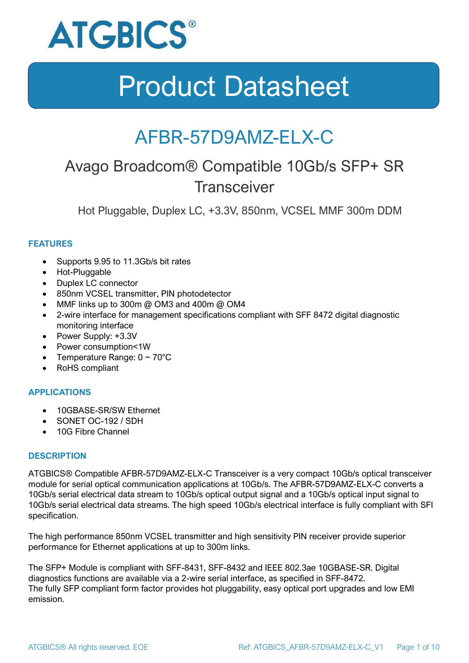

### AFBR-57D9AMZ-ELX-C

### Avago Broadcom® Compatible 10Gb/s SFP+ SR **Transceiver**

Hot Pluggable, Duplex LC, +3.3V, 850nm, VCSEL MMF 300m DDM

### **FEATURES**

- Supports 9.95 to 11.3Gb/s bit rates
- Hot-Pluggable
- Duplex LC connector
- 850nm VCSEL transmitter, PIN photodetector
- MMF links up to 300m @ OM3 and 400m @ OM4
- 2-wire interface for management specifications compliant with SFF 8472 digital diagnostic monitoring interface
- Power Supply: +3.3V
- Power consumption<1W
- Temperature Range:  $0 \sim 70^{\circ}$ C
- RoHS compliant

### **APPLICATIONS**

- 10GBASE-SR/SW Ethernet
- SONET OC-192 / SDH
- 10G Fibre Channel

#### **DESCRIPTION**

ATGBICS® Compatible AFBR-57D9AMZ-ELX-C Transceiver is a very compact 10Gb/s optical transceiver module for serial optical communication applications at 10Gb/s. The AFBR-57D9AMZ-ELX-C converts a 10Gb/s serial electrical data stream to 10Gb/s optical output signal and a 10Gb/s optical input signal to 10Gb/s serial electrical data streams. The high speed 10Gb/s electrical interface is fully compliant with SFI specification.

The high performance 850nm VCSEL transmitter and high sensitivity PIN receiver provide superior performance for Ethernet applications at up to 300m links.

The SFP+ Module is compliant with SFF-8431, SFF-8432 and IEEE 802.3ae 10GBASE-SR. Digital diagnostics functions are available via a 2-wire serial interface, as specified in SFF-8472. The fully SFP compliant form factor provides hot pluggability, easy optical port upgrades and low EMI emission.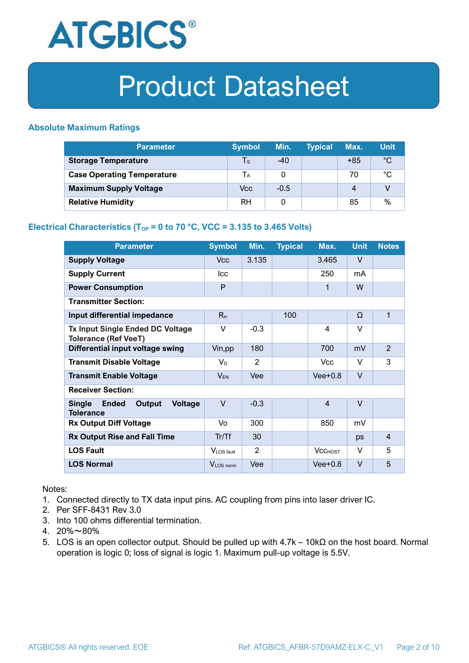

### **Absolute Maximum Ratings**

| <b>Parameter</b>                  | <b>Symbol</b>           | Min.   | <b>Typical</b> | Max.             | <b>Unit</b> |
|-----------------------------------|-------------------------|--------|----------------|------------------|-------------|
| <b>Storage Temperature</b>        | $\mathsf T_{\mathsf S}$ | $-40$  |                | $+85$            | $^{\circ}C$ |
| <b>Case Operating Temperature</b> | Tа                      |        |                | 70               | °C          |
| <b>Maximum Supply Voltage</b>     | Vcc                     | $-0.5$ |                | $\boldsymbol{A}$ |             |
| <b>Relative Humidity</b>          | <b>RH</b>               |        |                | 85               | %           |

#### **Electrical Characteristics (T<sub>OP</sub> = 0 to 70 °C, VCC = 3.135 to 3.465 Volts)**

| <b>Parameter</b>                                                              | <b>Symbol</b>         | Min.   | <b>Typical</b> | Max.           | <b>Unit</b> | <b>Notes</b>   |
|-------------------------------------------------------------------------------|-----------------------|--------|----------------|----------------|-------------|----------------|
| <b>Supply Voltage</b>                                                         | V <sub>cc</sub>       | 3.135  |                | 3.465          | $\vee$      |                |
| <b>Supply Current</b>                                                         | <b>Icc</b>            |        |                | 250            | mA          |                |
| <b>Power Consumption</b>                                                      | P                     |        |                | 1              | W           |                |
| <b>Transmitter Section:</b>                                                   |                       |        |                |                |             |                |
| Input differential impedance                                                  | $R_{in}$              |        | 100            |                | Ω           | 1              |
| <b>Tx Input Single Ended DC Voltage</b><br><b>Tolerance (Ref VeeT)</b>        | $\vee$                | $-0.3$ |                | $\overline{4}$ | $\vee$      |                |
| Differential input voltage swing                                              | Vin, pp               | 180    |                | 700            | mV          | $\overline{2}$ |
| <b>Transmit Disable Voltage</b>                                               | $V_D$                 | 2      |                | <b>Vcc</b>     | $\vee$      | 3              |
| <b>Transmit Enable Voltage</b>                                                | $V_{EN}$              | Vee    |                | $Vee+0.8$      | $\vee$      |                |
| <b>Receiver Section:</b>                                                      |                       |        |                |                |             |                |
| <b>Single</b><br><b>Ended</b><br>Output<br><b>Voltage</b><br><b>Tolerance</b> | $\vee$                | $-0.3$ |                | $\overline{4}$ | $\vee$      |                |
| <b>Rx Output Diff Voltage</b>                                                 | Vo                    | 300    |                | 850            | mV          |                |
| <b>Rx Output Rise and Fall Time</b>                                           | Tr/Tf                 | 30     |                |                | ps          | $\overline{4}$ |
| <b>LOS Fault</b>                                                              | VLOS fault            | 2      |                | <b>VCCHOST</b> | V           | 5              |
| <b>LOS Normal</b>                                                             | V <sub>LOS</sub> norm | Vee    |                | $Vee+0.8$      | $\vee$      | 5              |

Notes:

- 1. Connected directly to TX data input pins. AC coupling from pins into laser driver IC.
- 2. Per SFF-8431 Rev 3.0
- 3. Into 100 ohms differential termination.
- 4. 20%~80%
- 5. LOS is an open collector output. Should be pulled up with 4.7k 10kΩ on the host board. Normal operation is logic 0; loss of signal is logic 1. Maximum pull-up voltage is 5.5V.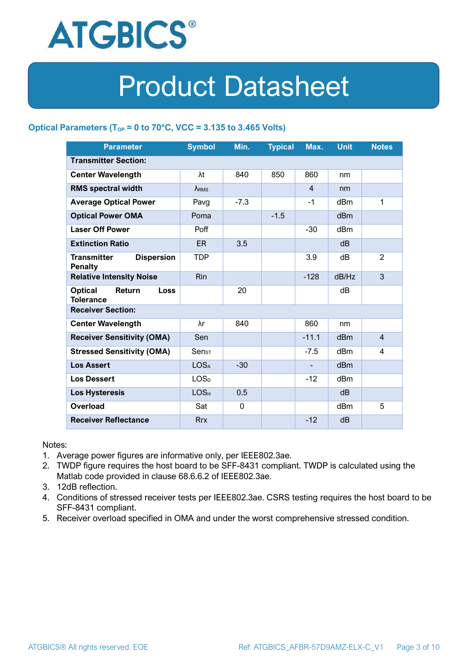

### **Optical Parameters** ( $T_{OP} = 0$  to 70°C, VCC = 3.135 to 3.465 Volts)

| <b>Parameter</b>                                            | <b>Symbol</b>                | Min.     | <b>Typical</b> | Max.           | <b>Unit</b>     | <b>Notes</b>   |  |
|-------------------------------------------------------------|------------------------------|----------|----------------|----------------|-----------------|----------------|--|
| <b>Transmitter Section:</b>                                 |                              |          |                |                |                 |                |  |
| <b>Center Wavelength</b>                                    | λt                           | 840      | 850            | 860            | nm              |                |  |
| <b>RMS spectral width</b>                                   | $\lambda_{RMS}$              |          |                | $\overline{4}$ | nm              |                |  |
| <b>Average Optical Power</b>                                | Pavg                         | $-7.3$   |                | $-1$           | dBm             | 1              |  |
| <b>Optical Power OMA</b>                                    | Poma                         |          | $-1.5$         |                | dBm             |                |  |
| <b>Laser Off Power</b>                                      | Poff                         |          |                | $-30$          | dBm             |                |  |
| <b>Extinction Ratio</b>                                     | ER.                          | 3.5      |                |                | dB              |                |  |
| <b>Transmitter</b><br><b>Dispersion</b><br><b>Penalty</b>   | <b>TDP</b>                   |          |                | 3.9            | dB              | $\overline{2}$ |  |
| <b>Relative Intensity Noise</b>                             | Rin                          |          |                | $-128$         | dB/Hz           | 3              |  |
| <b>Optical</b><br>Return<br><b>Loss</b><br><b>Tolerance</b> |                              | 20       |                |                | dВ              |                |  |
| <b>Receiver Section:</b>                                    |                              |          |                |                |                 |                |  |
| <b>Center Wavelength</b>                                    | λr                           | 840      |                | 860            | nm              |                |  |
| <b>Receiver Sensitivity (OMA)</b>                           | Sen                          |          |                | $-11.1$        | d <sub>Bm</sub> | $\overline{4}$ |  |
| <b>Stressed Sensitivity (OMA)</b>                           | $\mathsf{Sen}_{\mathsf{ST}}$ |          |                | $-7.5$         | dB <sub>m</sub> | 4              |  |
| <b>Los Assert</b>                                           | LOS <sub>A</sub>             | $-30$    |                |                | d <sub>Bm</sub> |                |  |
| <b>Los Dessert</b>                                          | LOS <sub>D</sub>             |          |                | $-12$          | dBm             |                |  |
| Los Hysteresis                                              | LOS <sub>H</sub>             | 0.5      |                |                | dB              |                |  |
| Overload                                                    | Sat                          | $\Omega$ |                |                | dBm             | 5              |  |
| <b>Receiver Reflectance</b>                                 | <b>Rrx</b>                   |          |                | $-12$          | dB              |                |  |

Notes:

- 1. Average power figures are informative only, per IEEE802.3ae.
- 2. TWDP figure requires the host board to be SFF-8431 compliant. TWDP is calculated using the Matlab code provided in clause 68.6.6.2 of IEEE802.3ae.
- 3. 12dB reflection.
- 4. Conditions of stressed receiver tests per IEEE802.3ae. CSRS testing requires the host board to be SFF-8431 compliant.
- 5. Receiver overload specified in OMA and under the worst comprehensive stressed condition.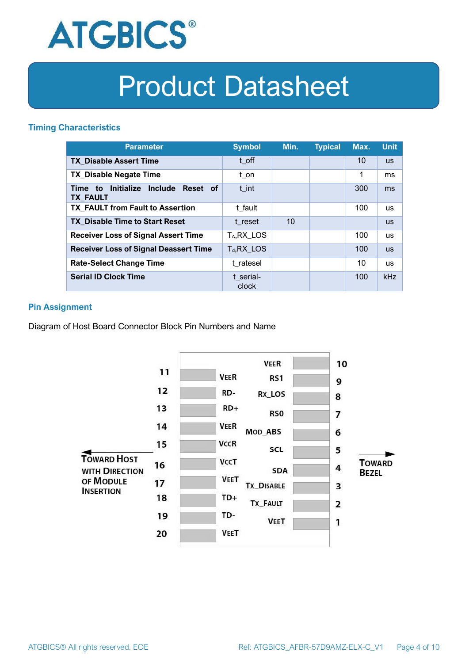

### **Timing Characteristics**

| <b>Parameter</b>                                                          | <b>Symbol</b>         | Min. | <b>Typical</b> | Max. | <b>Unit</b> |
|---------------------------------------------------------------------------|-----------------------|------|----------------|------|-------------|
| <b>TX Disable Assert Time</b>                                             | t off                 |      |                | 10   | <b>US</b>   |
| <b>TX Disable Negate Time</b>                                             | t_on                  |      |                | 1    | ms          |
| Initialize<br><b>Include</b><br>Reset of<br>Time<br>to<br><b>TX FAULT</b> | t int                 |      |                | 300  | ms          |
| <b>TX FAULT from Fault to Assertion</b>                                   | t fault               |      |                | 100  | <b>us</b>   |
| <b>TX Disable Time to Start Reset</b>                                     | t reset               | 10   |                |      | <b>US</b>   |
| <b>Receiver Loss of Signal Assert Time</b>                                | T <sub>A</sub> RX LOS |      |                | 100  | <b>us</b>   |
| <b>Receiver Loss of Signal Deassert Time</b>                              | $T_d, RX$ LOS         |      |                | 100  | <b>US</b>   |
| <b>Rate-Select Change Time</b>                                            | t ratesel             |      |                | 10   | <b>us</b>   |
| <b>Serial ID Clock Time</b>                                               | t serial-<br>clock    |      |                | 100  | kHz         |

### **Pin Assignment**

Diagram of Host Board Connector Block Pin Numbers and Name

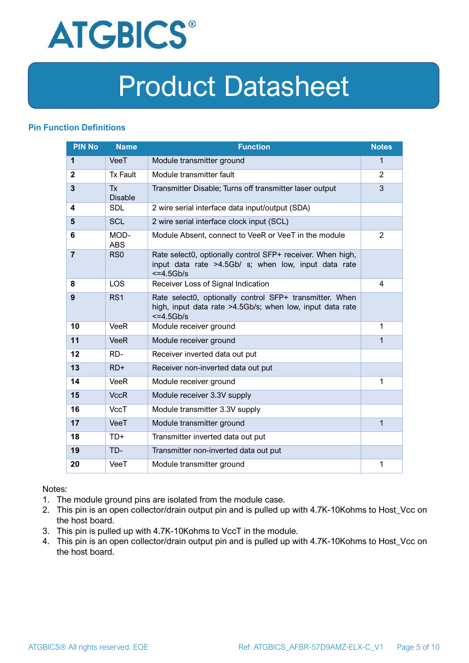

### **Pin Function Definitions**

| <b>PIN No</b>           | <b>Name</b>                 | <b>Function</b>                                                                                                                     | <b>Notes</b> |
|-------------------------|-----------------------------|-------------------------------------------------------------------------------------------------------------------------------------|--------------|
| $\mathbf{1}$            | VeeT                        | Module transmitter ground                                                                                                           | $\mathbf{1}$ |
| $\mathbf{2}$            | <b>Tx Fault</b>             | Module transmitter fault                                                                                                            | 2            |
| $\overline{\mathbf{3}}$ | <b>Tx</b><br><b>Disable</b> | Transmitter Disable; Turns off transmitter laser output                                                                             | 3            |
| 4                       | <b>SDL</b>                  | 2 wire serial interface data input/output (SDA)                                                                                     |              |
| 5                       | <b>SCL</b>                  | 2 wire serial interface clock input (SCL)                                                                                           |              |
| 6                       | MOD-<br><b>ABS</b>          | Module Absent, connect to VeeR or VeeT in the module                                                                                | 2            |
| $\overline{7}$          | RS <sub>0</sub>             | Rate select0, optionally control SFP+ receiver. When high,<br>input data rate >4.5Gb/ s; when low, input data rate<br>$<=4.5Gb/s$   |              |
| 8                       | <b>LOS</b>                  | Receiver Loss of Signal Indication                                                                                                  | 4            |
| 9                       | RS <sub>1</sub>             | Rate select0, optionally control SFP+ transmitter. When<br>high, input data rate >4.5Gb/s; when low, input data rate<br>$<=4.5Gb/s$ |              |
| 10                      | <b>VeeR</b>                 | Module receiver ground                                                                                                              | 1            |
| 11                      | <b>VeeR</b>                 | Module receiver ground                                                                                                              | 1            |
| 12                      | RD-                         | Receiver inverted data out put                                                                                                      |              |
| 13                      | $RD+$                       | Receiver non-inverted data out put                                                                                                  |              |
| 14                      | <b>VeeR</b>                 | Module receiver ground                                                                                                              | 1            |
| 15                      | <b>VccR</b>                 | Module receiver 3.3V supply                                                                                                         |              |
| 16                      | <b>VccT</b>                 | Module transmitter 3.3V supply                                                                                                      |              |
| 17                      | VeeT                        | Module transmitter ground                                                                                                           | $\mathbf{1}$ |
| 18                      | $TD+$                       | Transmitter inverted data out put                                                                                                   |              |
| 19                      | TD-                         | Transmitter non-inverted data out put                                                                                               |              |
| 20                      | VeeT                        | Module transmitter ground                                                                                                           | 1            |

Notes:

- 1. The module ground pins are isolated from the module case.
- 2. This pin is an open collector/drain output pin and is pulled up with 4.7K-10Kohms to Host\_Vcc on the host board.
- 3. This pin is pulled up with 4.7K-10Kohms to VccT in the module.
- 4. This pin is an open collector/drain output pin and is pulled up with 4.7K-10Kohms to Host Vcc on the host board.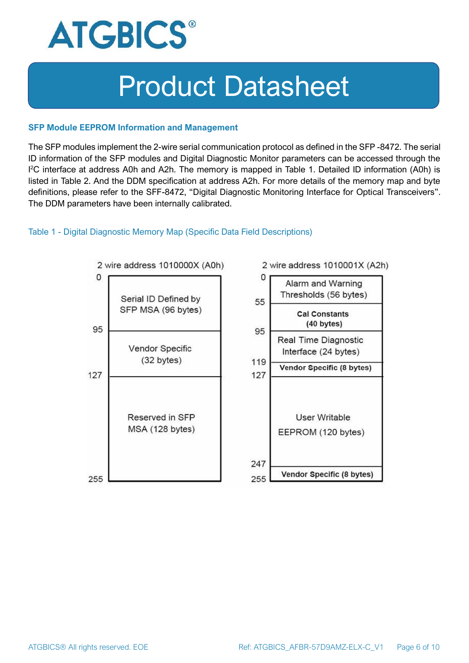

#### **SFP Module EEPROM Information and Management**

The SFP modules implement the 2-wire serial communication protocol as defined in the SFP -8472. The serial ID information of the SFP modules and Digital Diagnostic Monitor parameters can be accessed through the I <sup>2</sup>C interface at address A0h and A2h. The memory is mapped in Table 1. Detailed ID information (A0h) is listed in Table 2. And the DDM specification at address A2h. For more details of the memory map and byte definitions, please refer to the SFF-8472, "Digital Diagnostic Monitoring Interface for Optical Transceivers". The DDM parameters have been internally calibrated.

#### Table 1 - Digital Diagnostic Memory Map (Specific Data Field Descriptions)

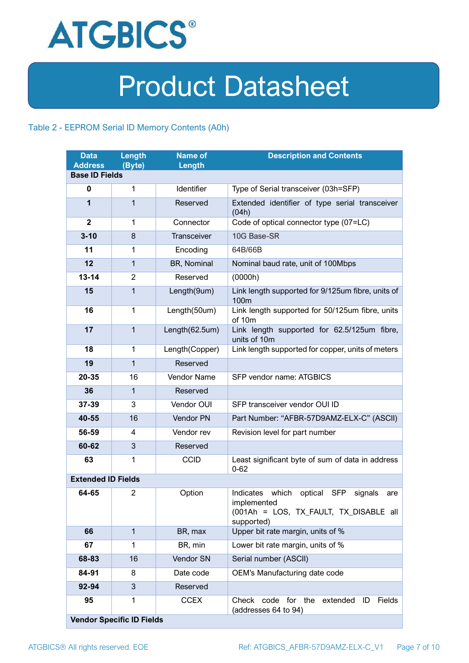

### Table 2 - EEPROM Serial ID Memory Contents (A0h)

| <b>Data</b><br><b>Address</b> | Length<br>(Byte)                 | <b>Name of</b><br>Length | <b>Description and Contents</b>                                                                                                   |
|-------------------------------|----------------------------------|--------------------------|-----------------------------------------------------------------------------------------------------------------------------------|
| <b>Base ID Fields</b>         |                                  |                          |                                                                                                                                   |
| $\mathbf 0$                   | 1                                | Identifier               | Type of Serial transceiver (03h=SFP)                                                                                              |
| 1                             | $\mathbf{1}$                     | Reserved                 | Extended identifier of type serial transceiver<br>(04h)                                                                           |
| $\mathbf{2}$                  | 1                                | Connector                | Code of optical connector type (07=LC)                                                                                            |
| $3 - 10$                      | 8                                | Transceiver              | 10G Base-SR                                                                                                                       |
| 11                            | 1                                | Encoding                 | 64B/66B                                                                                                                           |
| 12                            | $\mathbf{1}$                     | BR, Nominal              | Nominal baud rate, unit of 100Mbps                                                                                                |
| $13 - 14$                     | 2                                | Reserved                 | (0000h)                                                                                                                           |
| 15                            | $\mathbf{1}$                     | Length(9um)              | Link length supported for 9/125um fibre, units of<br>100 <sub>m</sub>                                                             |
| 16                            | $\mathbf 1$                      | Length(50um)             | Link length supported for 50/125um fibre, units<br>of 10m                                                                         |
| 17                            | $\mathbf{1}$                     | Length(62.5um)           | Link length supported for 62.5/125um fibre,<br>units of 10m                                                                       |
| 18                            | $\mathbf{1}$                     | Length(Copper)           | Link length supported for copper, units of meters                                                                                 |
| 19                            | $\mathbf{1}$                     | Reserved                 |                                                                                                                                   |
| 20-35                         | 16                               | <b>Vendor Name</b>       | SFP vendor name: ATGBICS                                                                                                          |
| 36                            | $\mathbf{1}$                     | Reserved                 |                                                                                                                                   |
| 37-39                         | 3                                | Vendor OUI               | SFP transceiver vendor OUI ID                                                                                                     |
| 40-55                         | 16                               | Vendor PN                | Part Number: "AFBR-57D9AMZ-ELX-C" (ASCII)                                                                                         |
| 56-59                         | 4                                | Vendor rev               | Revision level for part number                                                                                                    |
| 60-62                         | 3                                | Reserved                 |                                                                                                                                   |
| 63                            | 1                                | <b>CCID</b>              | Least significant byte of sum of data in address<br>$0 - 62$                                                                      |
| <b>Extended ID Fields</b>     |                                  |                          |                                                                                                                                   |
| 64-65                         | $\overline{2}$                   | Option                   | Indicates which<br>optical<br><b>SFP</b><br>signals<br>are<br>implemented<br>(001Ah = LOS, TX_FAULT, TX_DISABLE all<br>supported) |
| 66                            | $\mathbf{1}$                     | BR, max                  | Upper bit rate margin, units of %                                                                                                 |
| 67                            | 1                                | BR, min                  | Lower bit rate margin, units of %                                                                                                 |
| 68-83                         | 16                               | Vendor SN                | Serial number (ASCII)                                                                                                             |
| 84-91                         | 8                                | Date code                | OEM's Manufacturing date code                                                                                                     |
| 92-94                         | 3                                | Reserved                 |                                                                                                                                   |
| 95                            | 1                                | <b>CCEX</b>              | code for the<br>Fields<br>Check<br>extended<br>ID<br>(addresses 64 to 94)                                                         |
|                               | <b>Vendor Specific ID Fields</b> |                          |                                                                                                                                   |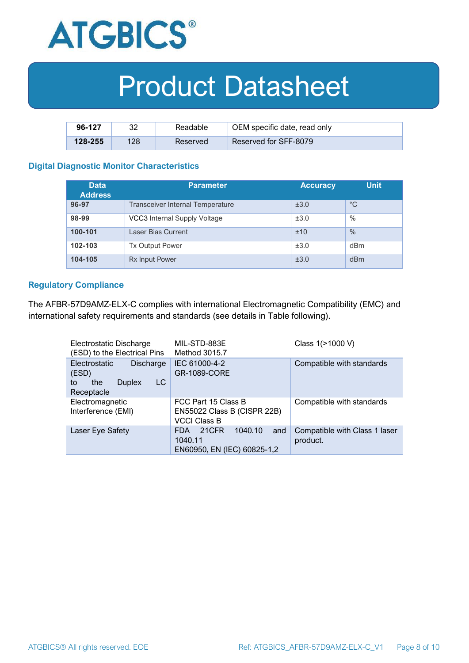

| 96-127      | າາ  | Readable | OEM specific date, read only |
|-------------|-----|----------|------------------------------|
| $128 - 255$ | 128 | Reserved | Reserved for SFF-8079        |

#### **Digital Diagnostic Monitor Characteristics**

| <b>Data</b><br><b>Address</b> | <b>Parameter</b>                        | <b>Accuracy</b> | <b>Unit</b> |
|-------------------------------|-----------------------------------------|-----------------|-------------|
| 96-97                         | <b>Transceiver Internal Temperature</b> | ±3.0            | $^{\circ}C$ |
| 98-99                         | VCC3 Internal Supply Voltage            | ±3.0            | %           |
| 100-101                       | Laser Bias Current                      | ±10             | $\%$        |
| 102-103                       | <b>Tx Output Power</b>                  | ±3.0            | dBm         |
| 104-105                       | <b>Rx Input Power</b>                   | ±3.0            | dBm         |

#### **Regulatory Compliance**

The AFBR-57D9AMZ-ELX-C complies with international Electromagnetic Compatibility (EMC) and international safety requirements and standards (see details in Table following).

| Electrostatic Discharge<br>(ESD) to the Electrical Pins                               | MIL-STD-883E<br>Method 3015.7                                             | Class 1(>1000 V)                          |
|---------------------------------------------------------------------------------------|---------------------------------------------------------------------------|-------------------------------------------|
| Electrostatic<br>Discharge<br>(ESD)<br>LC<br>the<br><b>Duplex</b><br>to<br>Receptacle | IEC 61000-4-2<br><b>GR-1089-CORE</b>                                      | Compatible with standards                 |
| Electromagnetic<br>Interference (EMI)                                                 | FCC Part 15 Class B<br>EN55022 Class B (CISPR 22B)<br><b>VCCI Class B</b> | Compatible with standards                 |
| Laser Eye Safety                                                                      | 1040.10<br>21CFR<br>and<br>FDA.<br>1040.11<br>EN60950, EN (IEC) 60825-1,2 | Compatible with Class 1 laser<br>product. |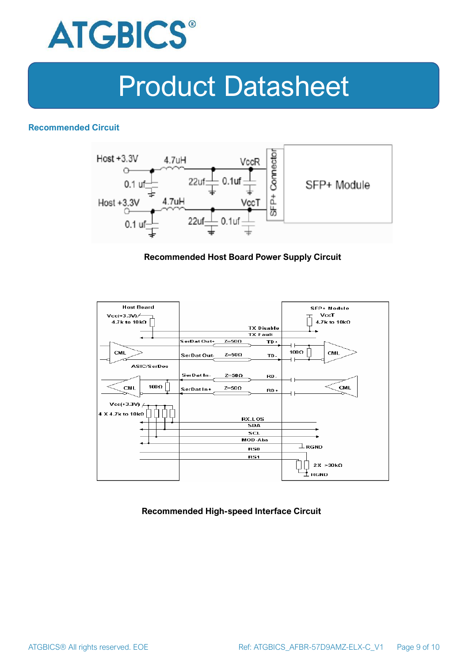

### **Recommended Circuit**



#### **Recommended Host Board Power Supply Circuit**



#### **Recommended High-speed Interface Circuit**